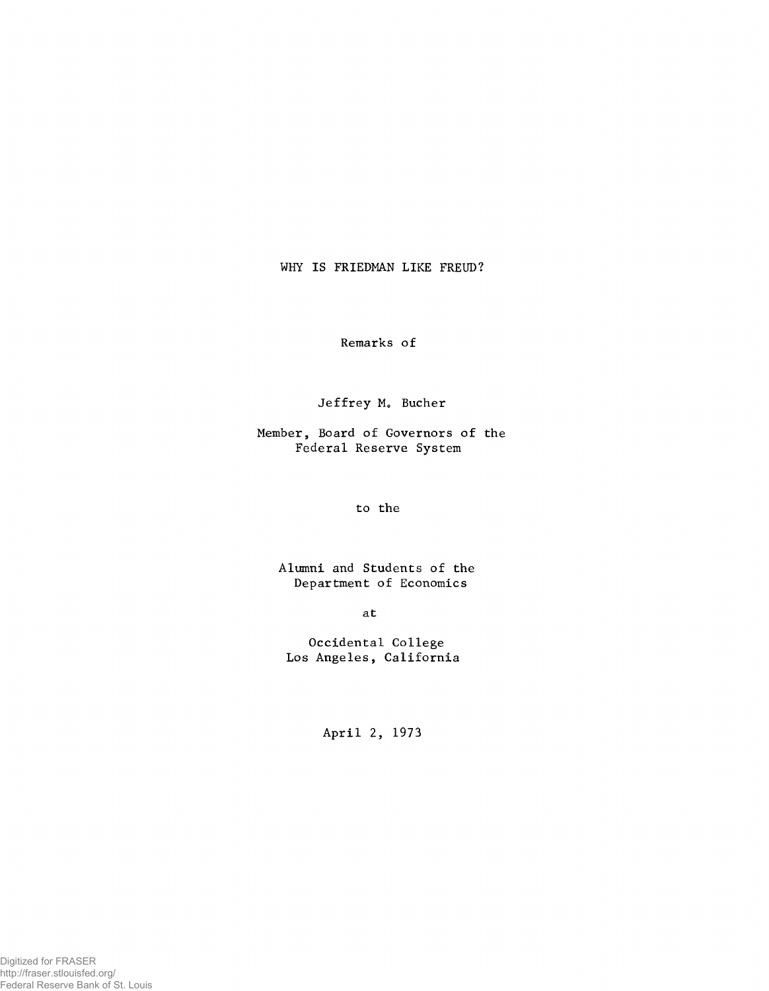WHY IS FRIEDMAN LIKE FREUD?

**Remarks of**

Jeffrey M. Bucher

**Member, Board of Governors of the Federal Reserve System**

**to the**

**Alumni and Students of the Department of Economics**

**at**

**Occidental College Los Angeles, California**

**April 2, 1973**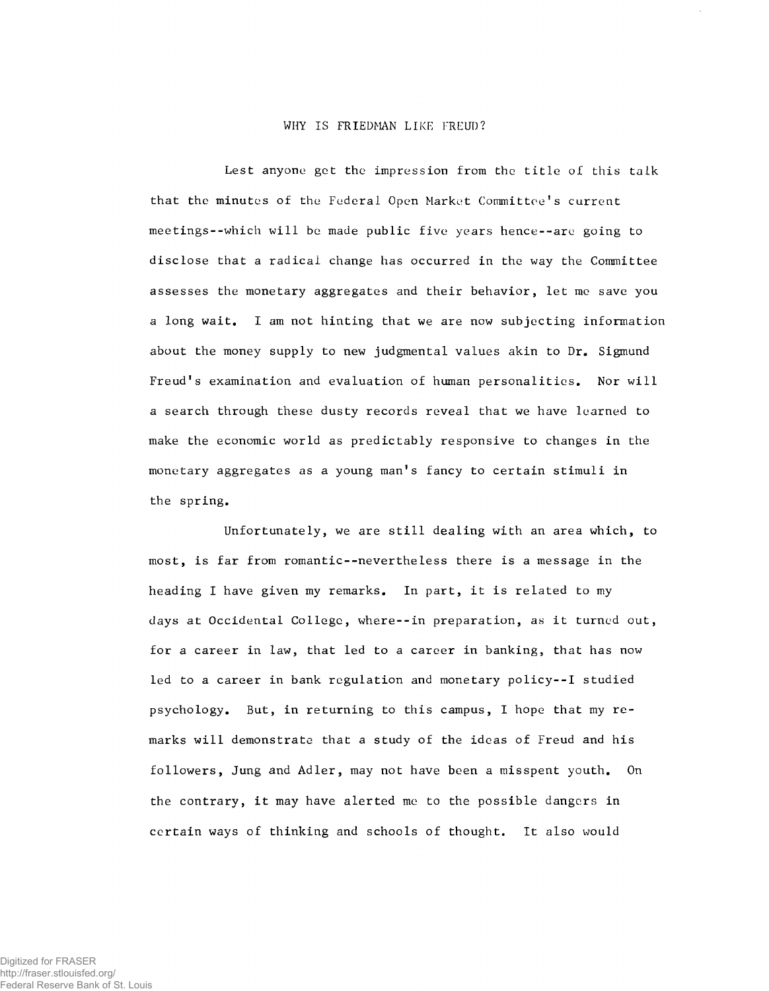## WHY IS FRIEDMAN LIKE FREUD?

**Lest anyone get the impression from the title of this talk that the minutes of the Federal Open Market Committee!s current meetings--which will be made public five years hence--are going to disclose that a radical change has occurred in the way the Committee assesses the monetary aggregates and their behavior, let me save you a long wait. I am not hinting that we are now subjecting information about the money supply to new judgmental values akin to Dr. Sigmund Freud1s examination and evaluation of human personalities. Nor will a search through these dusty records reveal that we have learned to make the economic world as predictably responsive to changes in the monetary aggregates as a young man's fancy to certain stimuli in the spring.**

**Unfortunately, we are still dealing with an area which, to most, is far from romantic--nevertheless there is a message in the heading I have given my remarks. In part, it is related to my days at Occidental College, where--in preparation, as it turned out, for a career in law, that led to a career in banking, that has now led to a career in bank regulation and monetary policy--I studied psychology. But, in returning to this campus, I hope that my remarks will demonstrate that a study of the ideas of Freud and his followers, Jung and Adler, may not have been a misspent youth. On the contrary, it may have alerted me to the possible dangers in certain ways of thinking and schools of thought. It also would**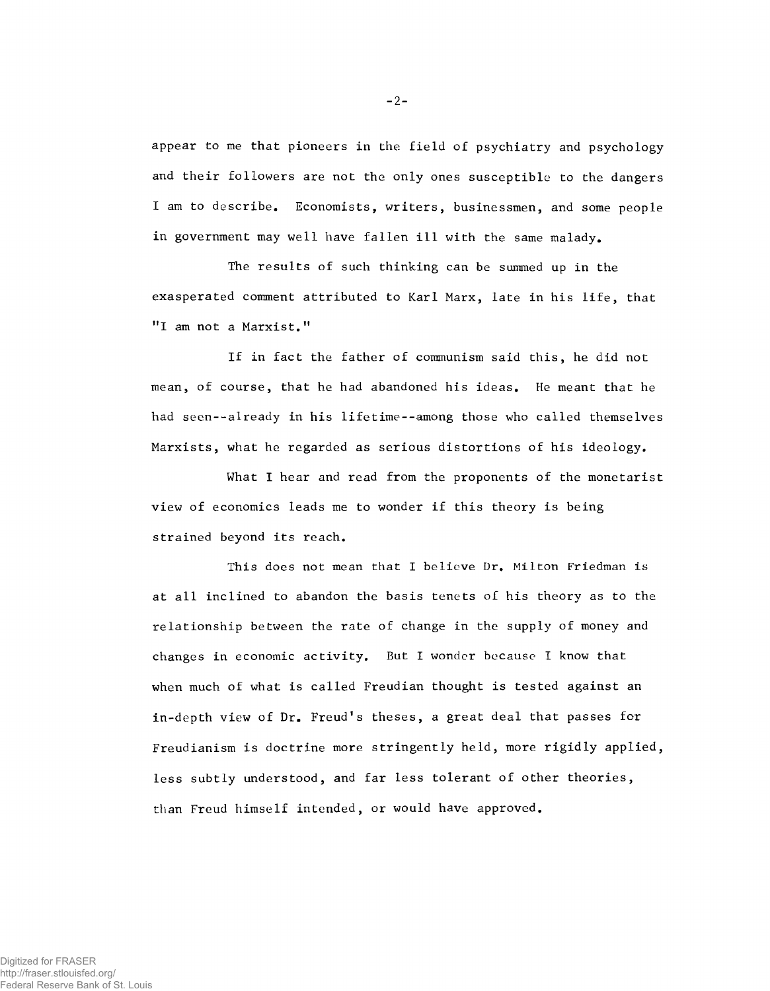**appear to me that pioneers in the field of psychiatry and psychology and their followers are not the only ones susceptible to the dangers I am to describe. Economists, writers, businessmen, and some people in government may well have fallen ill with the same malady.**

**The results of such thinking can be summed up in the exasperated comment attributed to Karl Marx, late in his life, that "I am not a Marxist."**

**If in fact the father of communism said this, he did not mean, of course, that he had abandoned his ideas. He meant that he had seen--already in his lifetime--among those who called themselves Marxists, what he regarded as serious distortions of his ideology.**

**What I hear and read from the proponents of the monetarist view of economics leads me to wonder if this theory is being strained beyond its reach.**

**This does not mean that I believe Dr. Milton Friedman is at all inclined to abandon the basis tenets of his theory as to the relationship between the rate of change in the supply of money and changes in economic activity. But I wonder because I know that when much of what is called Freudian thought is tested against an** in-depth view of Dr. Freud's theses, a great deal that passes for **Freudianism is doctrine more stringently held, more rigidly applied, less subtly understood, and far less tolerant of other theories, than Freud himself intended, or would have approved.**

- **2**-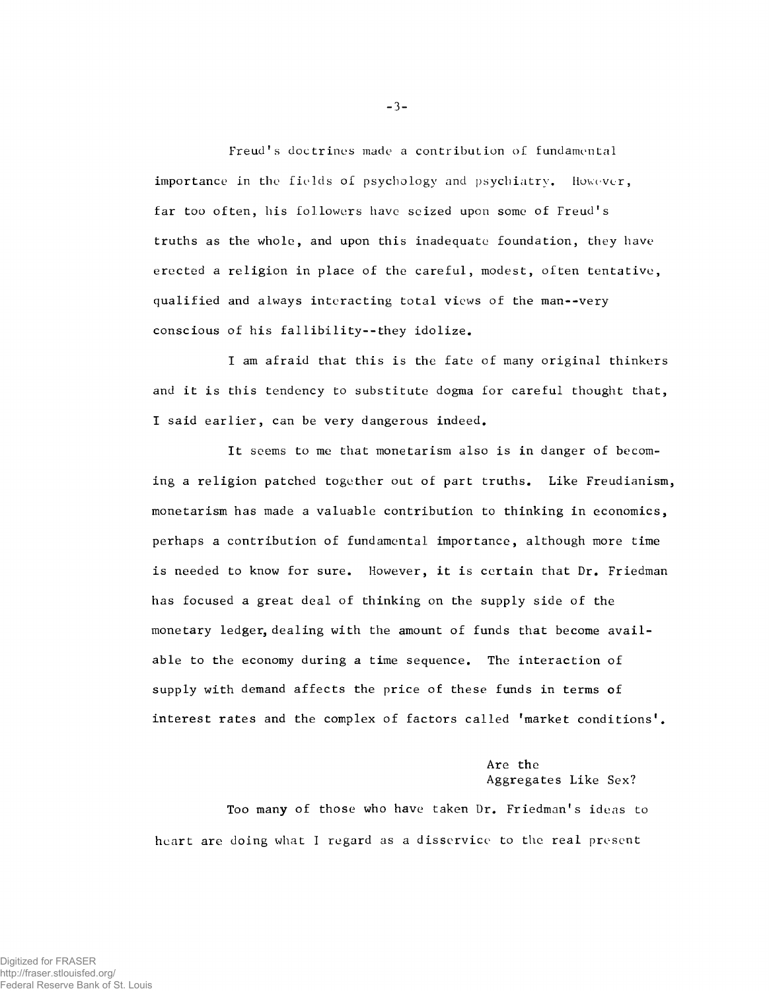Freud's doctrines made a contribution of fundamental **importance in the fields of psychology and psychiatry. However, far too often, his followers have seized upon some of Freudfs truths as the whole, and upon this inadequate foundation, they have erected a religion in place of the careful, modest, often tentative, qualified and always interacting total views of the man--very conscious of his fal1ibility--they idolize.**

**I am afraid that this is the fate of many original thinkers and it is this tendency to substitute dogma for careful thought that, I said earlier, can be very dangerous indeed.**

**It seems to me that monetarism also is in danger of becoming a religion patched together out of part truths. Like Freudianism, monetarism has made a valuable contribution to thinking in economics, perhaps a contribution of fundamental importance, although more time is needed to know for sure. However, it is certain that Dr. Friedman has focused a great deal of thinking on the supply side of the monetary ledger, dealing with the amount of funds that become available to the economy during a time sequence. The interaction of supply with demand affects the price of these funds in terms of interest rates and the complex of factors called 'market conditions1.**

## **Are the Aggregates Like Sex?**

Too many of those who have taken Dr. Friedman's ideas to **heart are doing what 1 regard as a disservice to the real present**

-3-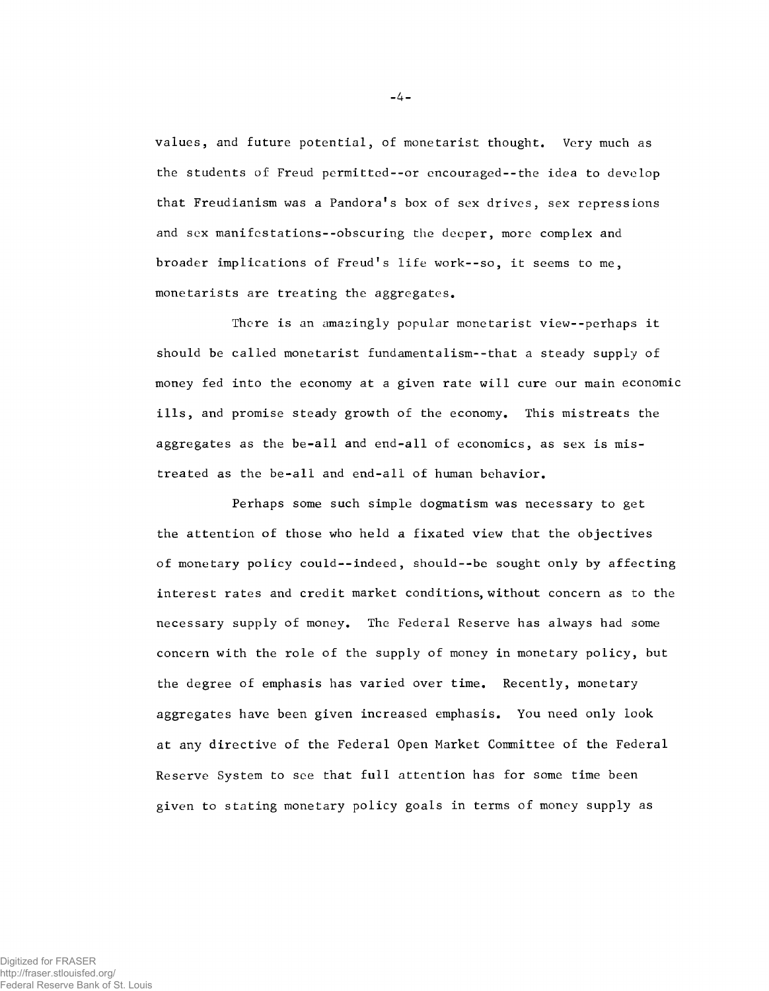**values, and future potential, of monetarist thought. Very much as the students of Freud permitted--or encouraged--the idea to develop that Freudianism was a Pandora\*s box of sex drives, sex repressions and sex manifestations--obscuring the deeper, more complex and** broader implications of Freud's life work--so, it seems to me, **monetarists are treating the aggregates.**

**There is an amazingly popular monetarist view--perhaps it should be called monetarist fundamentalism--that a steady supply of money fed into the economy at a given rate will cure our main economic ills, and promise steady growth of the economy. This mistreats the aggregates as the be-all and end-all of economics, as sex is mistreated as the be-all and end-all of human behavior.**

**Perhaps some such simple dogmatism was necessary to get the attention of those who held a fixated view that the objectives of monetary policy could--indeed, should--be sought only by affecting interest rates and credit market conditions, without concern as to the necessary supply of money. The Federal Reserve has always had some concern with the role of the supply of money in monetary policy, but the degree of emphasis has varied over time. Recently, monetary aggregates have been given increased emphasis. You need only look at any directive of the Federal Open Market Committee of the Federal Reserve System to see that full attention has for some time been given to stating monetary policy goals in terms of money supply as**

-4-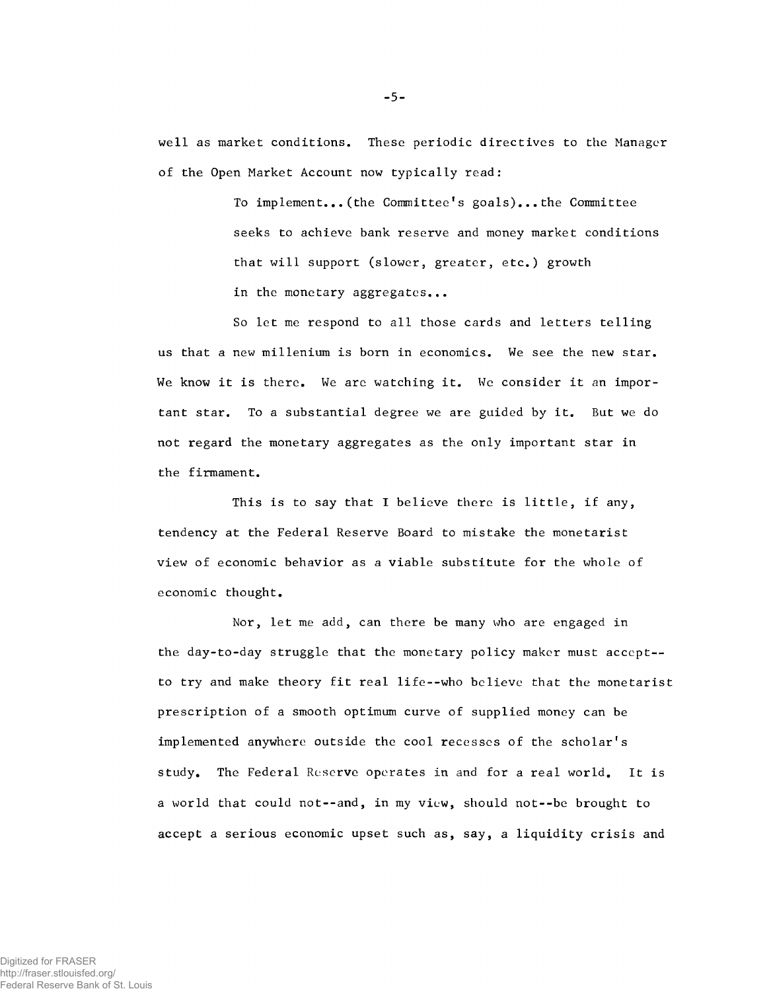**well as market conditions. These periodic directives to the Manager of the Open Market Account now typically read:**

> **To implement...(the Committee1s goals)...the Committee seeks to achieve bank reserve and money market conditions that will support (slower, greater, etc.) growth in the monetary aggregates...**

**So let me respond to all those cards and letters telling us that a new millenium is born in economics. We see the new star. We know it is there. We are watching it. We consider it an important star. To a substantial degree we are guided by it. But we do not regard the monetary aggregates as the only important star in the firmament.**

**This is to say that I believe there is little, if any, tendency at the Federal Reserve Board to mistake the monetarist view of economic behavior as a viable substitute for the whole of economic thought.**

**Nor, let me add, can there be many who are engaged in the day-to-day struggle that the monetary policy maker must accept to try and make theory fit real life--who believe that the monetarist prescription of a smooth optimum curve of supplied money can be** implemented anywhere outside the cool recesses of the scholar's **study. The Federal Reserve operates in and for a real world. It is a world that could not--and, in my view, should not--be brought to accept a serious economic upset such as, say, a liquidity crisis and**

-5-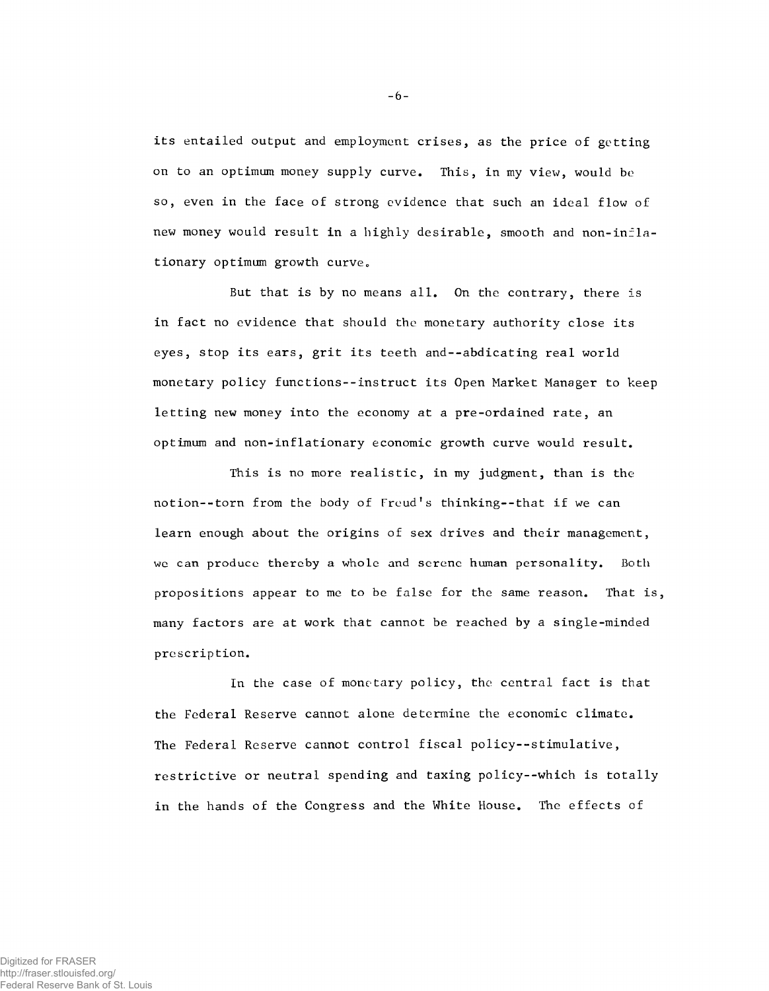**its entailed output and employment crises, as the price of getting on to an optimum money supply curve. This, in my view, would be so, even in the face of strong evidence that such an ideal flow of** new money would result in a highly desirable, smooth and non-inflationary optimum growth curve.

**But that is by no means all. On the contrary, there is in fact no evidence that should the monetary authority close its eyes, stop its ears, grit its teeth and--abdicating real world monetary policy functions--instruct its Open Market Manager to keep letting new money into the economy at a pre-ordained rate, an optimum and non-inflationary economic growth curve would result.**

**This is no more realistic, in my judgment, than is the notion--torn from the body of Freud\*s thinking--that if we can learn enough about the origins of sex drives and their management, we can produce thereby a whole and serene human personality. Both propositions appear to me to be false for the same reason. That is, many factors are at work that cannot be reached by a single-minded prescription.**

**In the case of monetary policy, the central fact is that the Federal Reserve cannot alone determine the economic climate. The Federal Reserve cannot control fiscal policy--stimulative, restrictive or neutral spending and taxing policy--which is totally in the hands of the Congress and the White House. The effects of**

-6-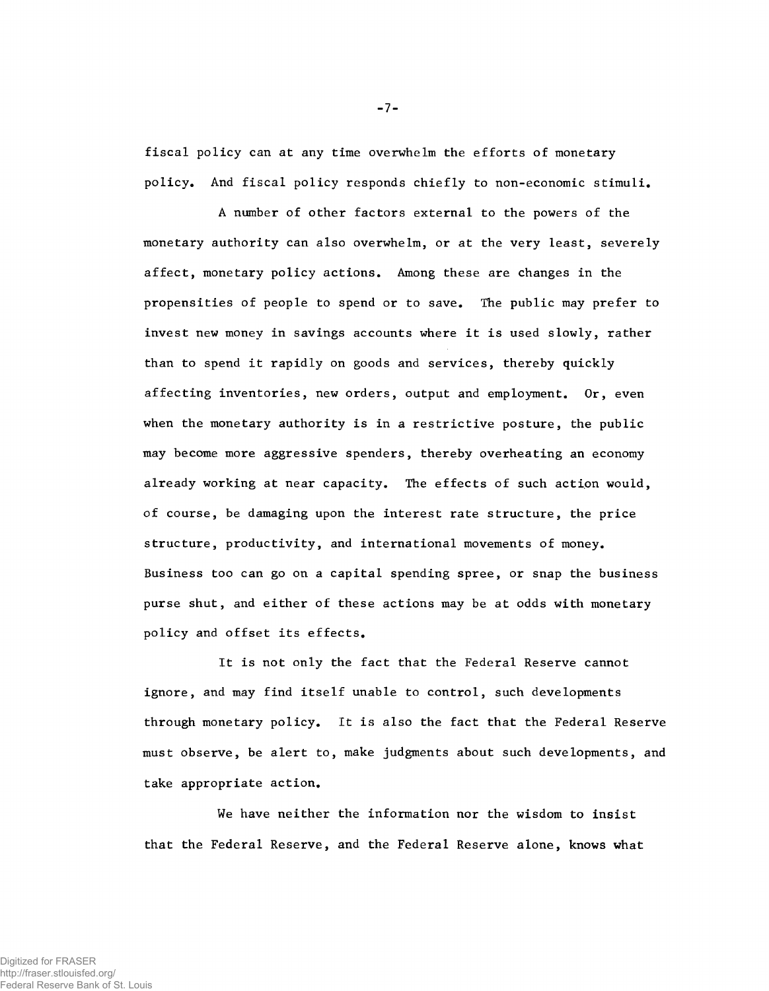**fiscal policy can at any time overwhelm the efforts of monetary policy. And fiscal policy responds chiefly to non-economic stimuli.**

**A number of other factors external to the powers of the monetary authority can also overwhelm, or at the very least, severely affect, monetary policy actions. Among these are changes in the propensities of people to spend or to save. The public may prefer to invest new money in savings accounts where it is used slowly, rather than to spend it rapidly on goods and services, thereby quickly affecting inventories, new orders, output and employment. Or, even when the monetary authority is in a restrictive posture, the public may become more aggressive spenders, thereby overheating an economy already working at near capacity. The effects of such action would, of course, be damaging upon the interest rate structure, the price structure, productivity, and international movements of money. Business too can go on a capital spending spree, or snap the business purse shut, and either of these actions may be at odds with monetary policy and offset its effects.**

**It is not only the fact that the Federal Reserve cannot ignore, and may find itself unable to control, such developments through monetary policy. It is also the fact that the Federal Reserve must observe, be alert to, make judgments about such developments, and take appropriate action.**

**We have neither the information nor the wisdom to insist that the Federal Reserve, and the Federal Reserve alone, knows what**

-7-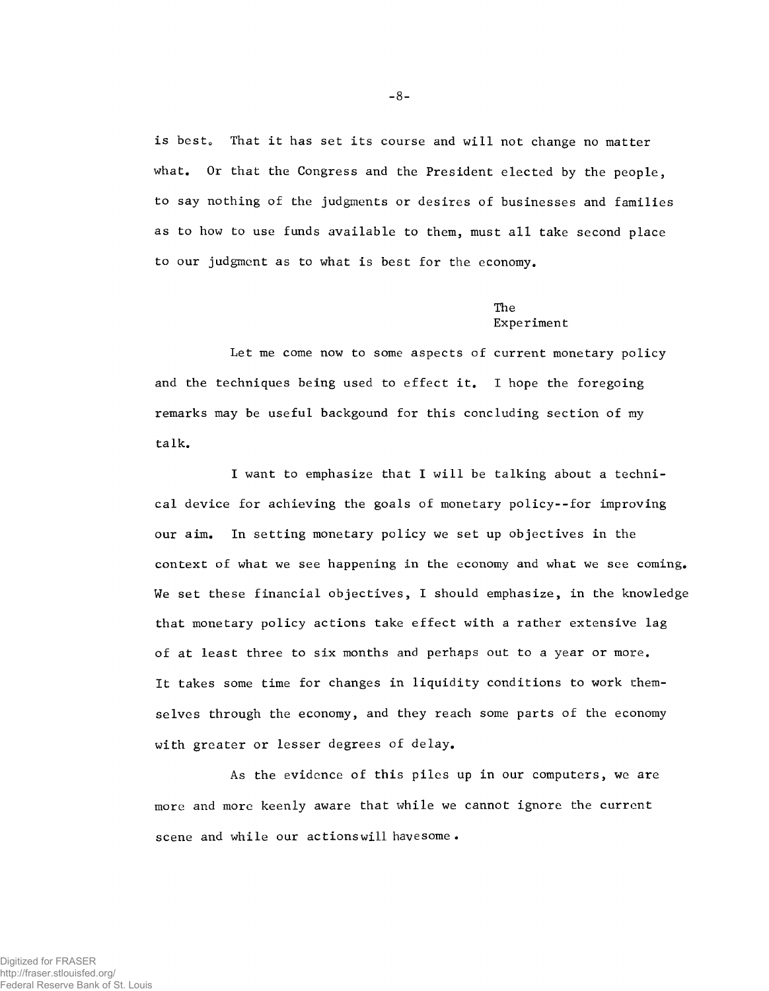is best. That it has set its course and will not change no matter **what. Or that the Congress and the President elected by the people, to say nothing of the judgments or desires of businesses and families as to how to use funds available to them, must all take second place to our judgment as to what is best for the economy.**

## **The Experiment**

**Let me come now to some aspects of current monetary policy and the techniques being used to effect it. I hope the foregoing remarks may be useful backgound for this concluding section of my talk.**

**I want to emphasize that I will be talking about a technical device for achieving the goals of monetary policy--for improving our aim. In setting monetary policy we set up objectives in the context of what we see happening in the economy and what we see coming. We set these financial objectives, I should emphasize, in the knowledge that monetary policy actions take effect with a rather extensive lag of at least three to six months and perhaps out to a year or more. It takes some time for changes in liquidity conditions to work themselves through the economy, and they reach some parts of the economy with greater or lesser degrees of delay.**

**As the evidence of this piles up in our computers, we are more and more keenly aware that while we cannot ignore the current scene and while our actionswill havesome .**

-8-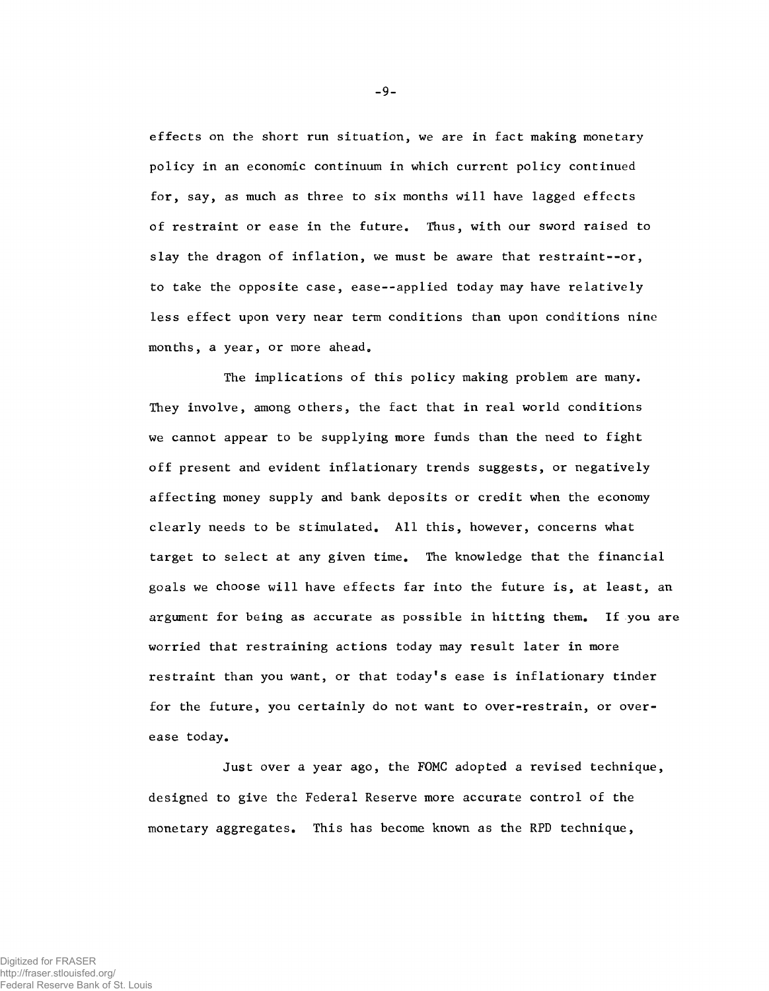**effects on the short run situation, we are in fact making monetary policy in an economic continuum in which current policy continued for, say, as much as three to six months will have lagged effects of restraint or ease in the future. Thus, with our sword raised to slay the dragon of inflation, we must be aware that restraint--or, to take the opposite case, ease-applied today may have relatively less effect upon very near term conditions than upon conditions nine months, a year, or more ahead.**

**The implications of this policy making problem are many. They involve, among others, the fact that in real world conditions we cannot appear to be supplying more funds than the need to fight off present and evident inflationary trends suggests, or negatively affecting money supply and bank deposits or credit when the economy clearly needs to be stimulated. All this, however, concerns what target to select at any given time. The knowledge that the financial goals we choose will have effects far into the future is, at least, an argument for being as accurate as possible in hitting them. If you are worried that restraining actions today may result later in more restraint than you want, or that today's ease is inflationary tinder for the future, you certainly do not want to over-restrain, or overease today.**

**Just over a year ago, the FOMC adopted a revised technique, designed to give the Federal Reserve more accurate control of the monetary aggregates. This has become known as the RPD technique,**

-9-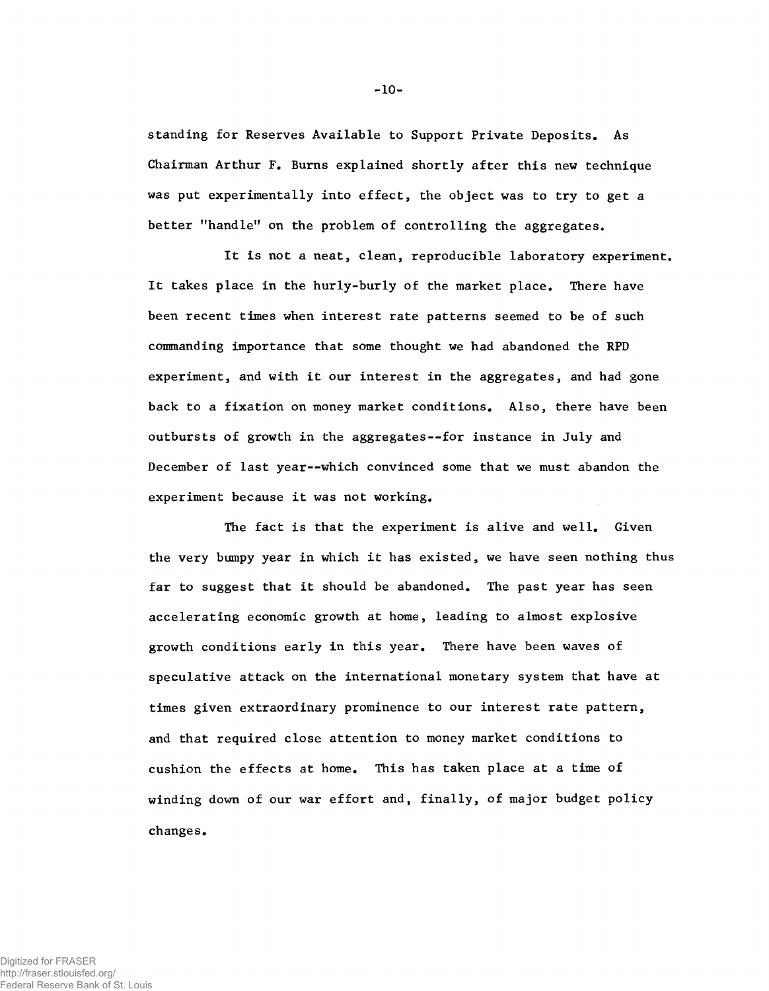**standing for Reserves Available to Support Private Deposits. As Chairman Arthur F. Burns explained shortly after this new technique was put experimentally into effect, the object was to try to get a better "handle" on the problem of controlling the aggregates.**

**It is not a neat, clean, reproducible laboratory experiment. It takes place in the hurly-burly of the market place. There have been recent times when interest rate patterns seemed to be of such commanding importance that some thought we had abandoned the RPD experiment, and with it our interest in the aggregates, and had gone back to a fixation on money market conditions. Also, there have been outbursts of growth in the aggregates--for instance in July and December of last year— which convinced some that we must abandon the experiment because it was not working.**

**The fact is that the experiment is alive and well. Given the very bumpy year in which it has existed, we have seen nothing thus far to suggest that it should be abandoned. The past year has seen accelerating economic growth at home, leading to almost explosive growth conditions early in this year. There have been waves of speculative attack on the international monetary system that have at times given extraordinary prominence to our interest rate pattern, and that required close attention to money market conditions to cushion the effects at home. This has taken place at a time of winding down of our war effort and, finally, of major budget policy changes.**

-10-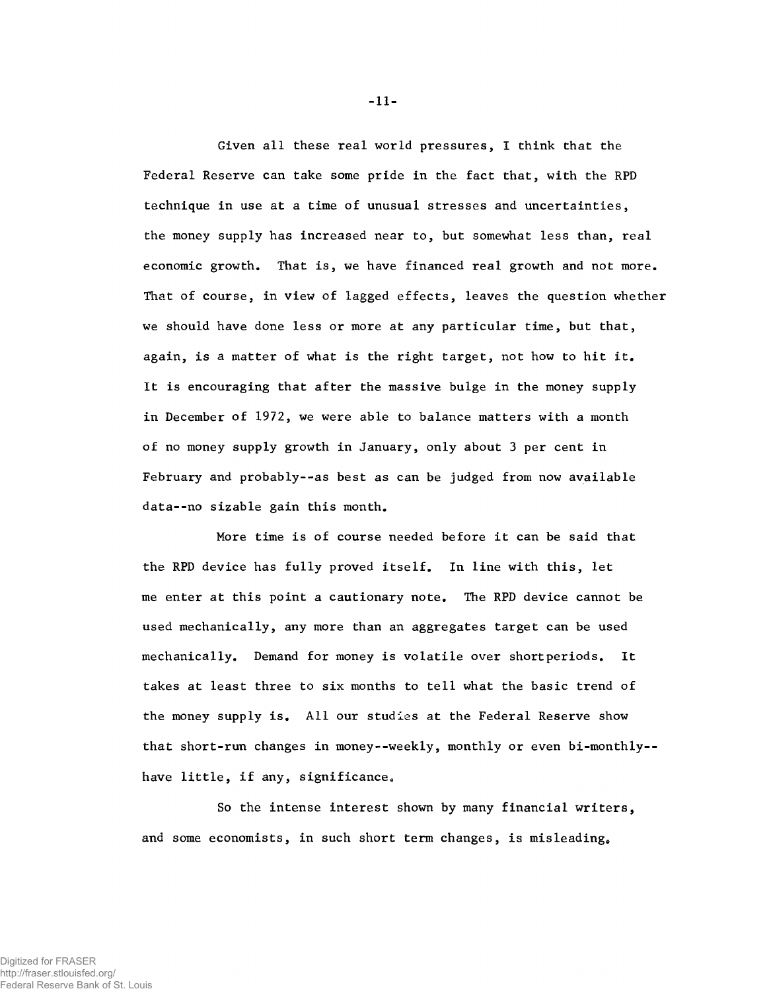**Given all these real world pressures, I think that the Federal Reserve can take some pride in the fact that, with the RPD technique in use at a time of unusual stresses and uncertainties, the money supply has increased near to, but somewhat less than, real economic growth. That is, we have financed real growth and not more. That of course, in view of lagged effects, leaves the question whether we should have done less or more at any particular time, but that, again, is a matter of what is the right target, not how to hit it. It is encouraging that after the massive bulge in the money supply in December of 1972, we were able to balance matters with a month of no money supply growth in January, only about 3 per cent in February and probably--as best as can be judged from now available data--no sizable gain this month.**

**More time is of course needed before it can be said that the RPD device has fully proved itself. In line with this, let me enter at this point a cautionary note. The RPD device cannot be used mechanically, any more than an aggregates target can be used mechanically. Demand for money is volatile over shortperiods. It takes at least three to six months to tell what the basic trend of the money supply is. All our studies at the Federal Reserve show that short-run changes in money--weekly, monthly or even bi-monthly-** have little, if any, significance.

**So the intense interest shown by many financial writers,** and some economists, in such short term changes, is misleading.

-11-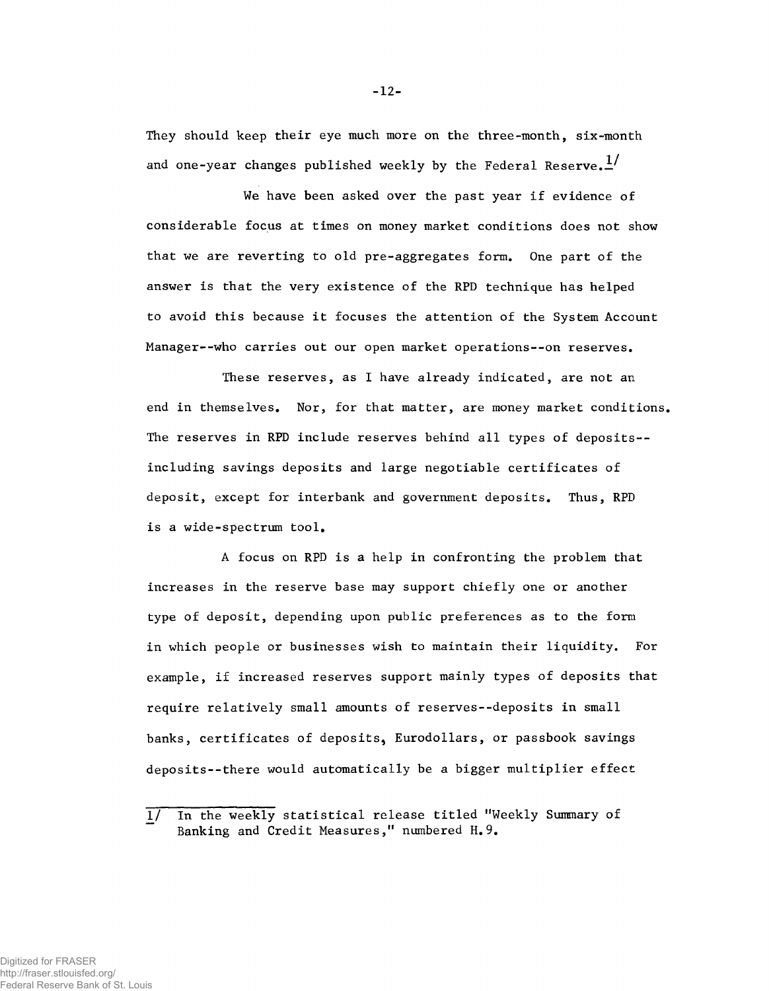**They should keep their eye much more on the three-month, six-month and one-year changes published weekly by the Federal Reserve.**

**We have been asked over the past year if evidence of considerable focus at times on money market conditions does not show that we are reverting to old pre-aggregates form. One part of the answer is that the very existence of the RPD technique has helped to avoid this because it focuses the attention of the System Account Manager--who carries out our open market operations--on reserves.**

**These reserves, as I have already indicated, are not an end in themselves. Nor, for that matter, are money market conditions. The reserves in RPD include reserves behind all types of deposits- including savings deposits and large negotiable certificates of deposit, except for interbank and government deposits. Thus, RPD is a wide-spectrum tool.**

**A focus on RPD is a help in confronting the problem that increases in the reserve base may support chiefly one or another type of deposit, depending upon public preferences as to the form in which people or businesses wish to maintain their liquidity. For example, if increased reserves support mainly types of deposits that require relatively small amounts of reserves--deposits in small** banks, certificates of deposits, Eurodollars, or passbook savings **deposits--there would automatically be a bigger multiplier effect**

-12-

**<sup>1/</sup> In the weekly statistical release titled "Weekly Summary of Banking and Credit Measures," numbered H.9.**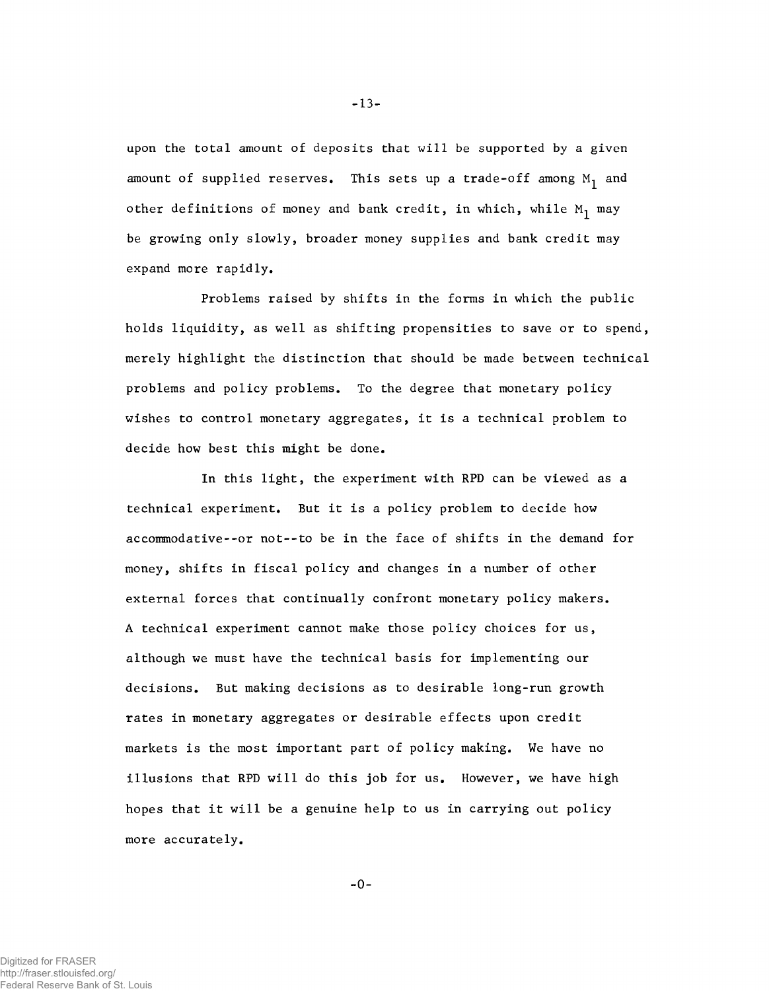**upon the total amount of deposits that will be supported by a given** amount of supplied reserves. This sets up a trade-off among M<sub>1</sub> and other definitions of money and bank credit, in which, while M<sub>1</sub> may **be growing only slowly, broader money supplies and bank credit may expand more rapidly.**

**Problems raised by shifts in the forms in which the public holds liquidity, as well as shifting propensities to save or to spend, merely highlight the distinction that should be made between technical problems and policy problems. To the degree that monetary policy wishes to control monetary aggregates, it is a technical problem to decide how best this might be done.**

**In this light, the experiment with RPD can be viewed as a technical experiment. But it is a policy problem to decide how accommodative--or not--to be in the face of shifts in the demand for money, shifts in fiscal policy and changes in a number of other external forces that continually confront monetary policy makers. A technical experiment cannot make those policy choices for us, although we must have the technical basis for implementing our decisions. But making decisions as to desirable long-run growth rates in monetary aggregates or desirable effects upon credit markets is the most important part of policy making. We have no illusions that RPD will do this job for us. However, we have high hopes that it will be a genuine help to us in carrying out policy more accurately.**